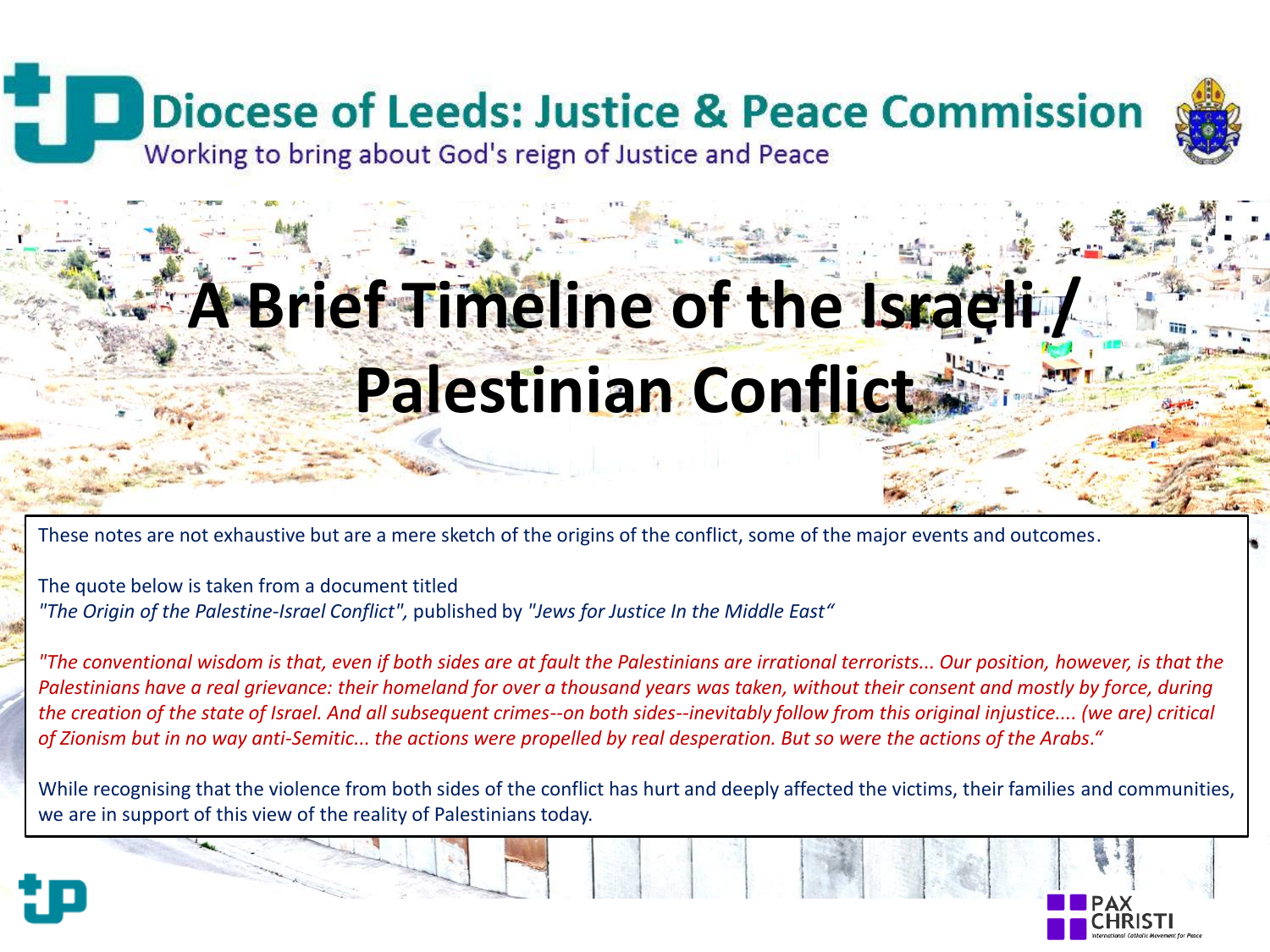# **Diocese of Leeds: Justice & Peace Commission**



Working to bring about God's reign of Justice and Peace

# **A Brief Timeline of the Israeli / Palestinian Conflict**

These notes are not exhaustive but are a mere sketch of the origins of the conflict, some of the major events and outcomes.

The quote below is taken from a document titled *"The Origin of the Palestine-Israel Conflict",* published by *"Jews for Justice In the Middle East"*

*"The conventional wisdom is that, even if both sides are at fault the Palestinians are irrational terrorists... Our position, however, is that the Palestinians have a real grievance: their homeland for over a thousand years was taken, without their consent and mostly by force, during the creation of the state of Israel. And all subsequent crimes--on both sides--inevitably follow from this original injustice.... (we are) critical of Zionism but in no way anti-Semitic... the actions were propelled by real desperation. But so were the actions of the Arabs."*

While recognising that the violence from both sides of the conflict has hurt and deeply affected the victims, their families and communities, we are in support of this view of the reality of Palestinians today.



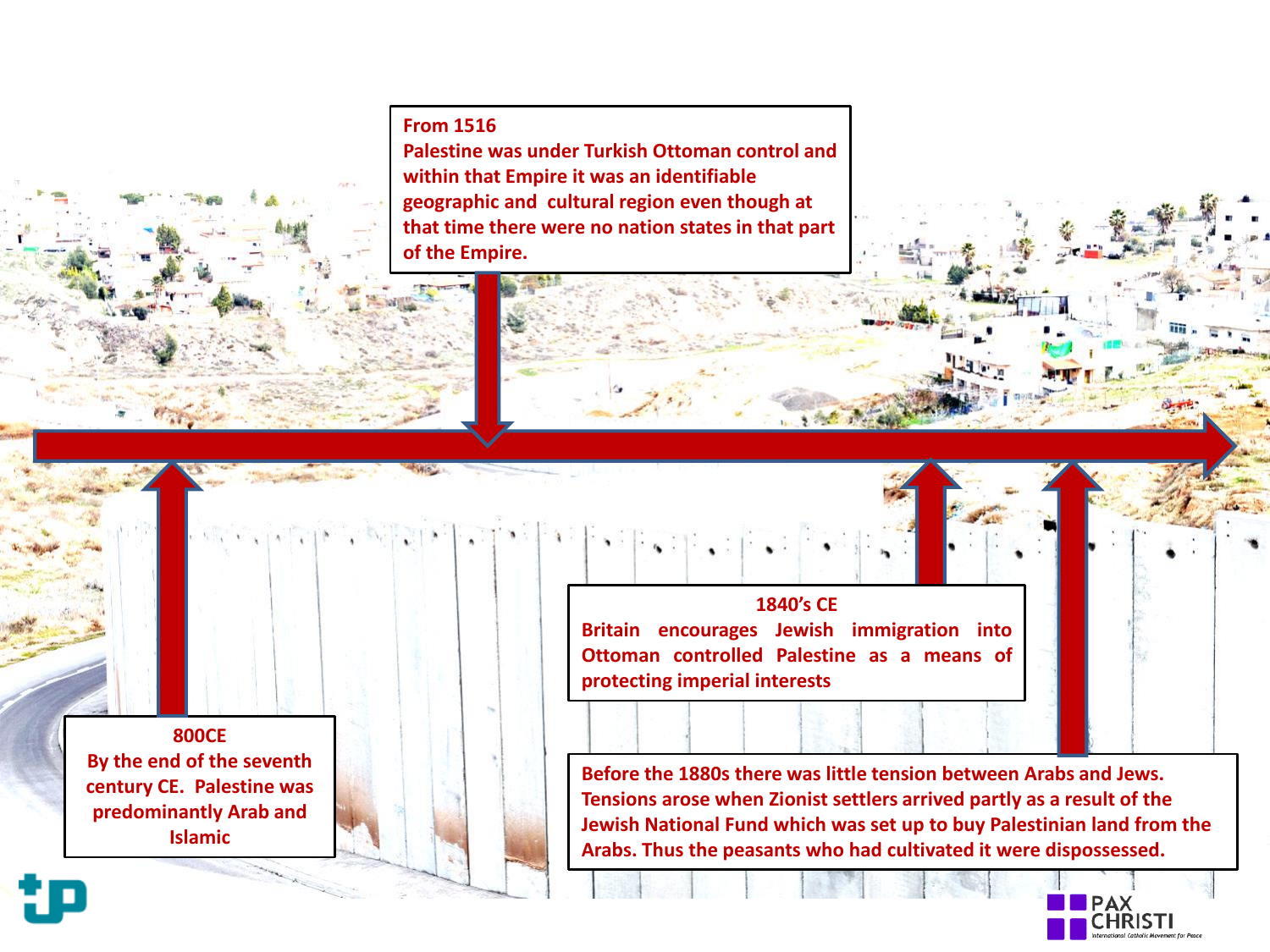**From 1516** 

**Palestine was under Turkish Ottoman control and within that Empire it was an identifiable geographic and cultural region even though at that time there were no nation states in that part of the Empire.**

**800CE By the end of the seventh century CE. Palestine was predominantly Arab and Islamic**

**1840's CE Britain encourages Jewish immigration into Ottoman controlled Palestine as a means of protecting imperial interests**

**Before the 1880s there was little tension between Arabs and Jews. Tensions arose when Zionist settlers arrived partly as a result of the Jewish National Fund which was set up to buy Palestinian land from the Arabs. Thus the peasants who had cultivated it were dispossessed.**



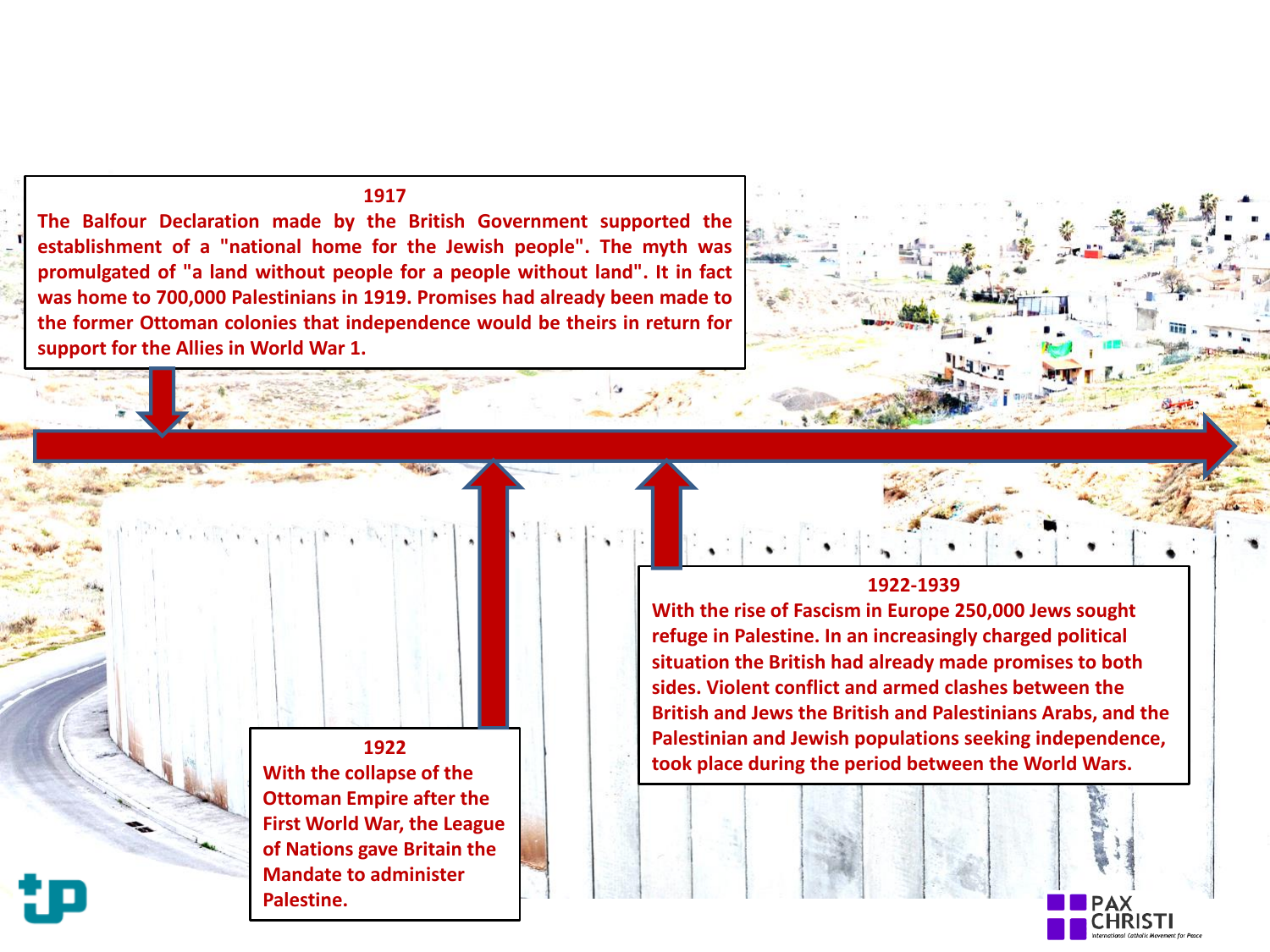## **1917**

**The Balfour Declaration made by the British Government supported the establishment of a "national home for the Jewish people". The myth was promulgated of "a land without people for a people without land". It in fact was home to 700,000 Palestinians in 1919. Promises had already been made to the former Ottoman colonies that independence would be theirs in return for support for the Allies in World War 1.**

**1922-1939** 

**With the rise of Fascism in Europe 250,000 Jews sought refuge in Palestine. In an increasingly charged political situation the British had already made promises to both sides. Violent conflict and armed clashes between the British and Jews the British and Palestinians Arabs, and the Palestinian and Jewish populations seeking independence, took place during the period between the World Wars.**

**1922 With the collapse of the Ottoman Empire after the First World War, the League of Nations gave Britain the Mandate to administer Palestine.**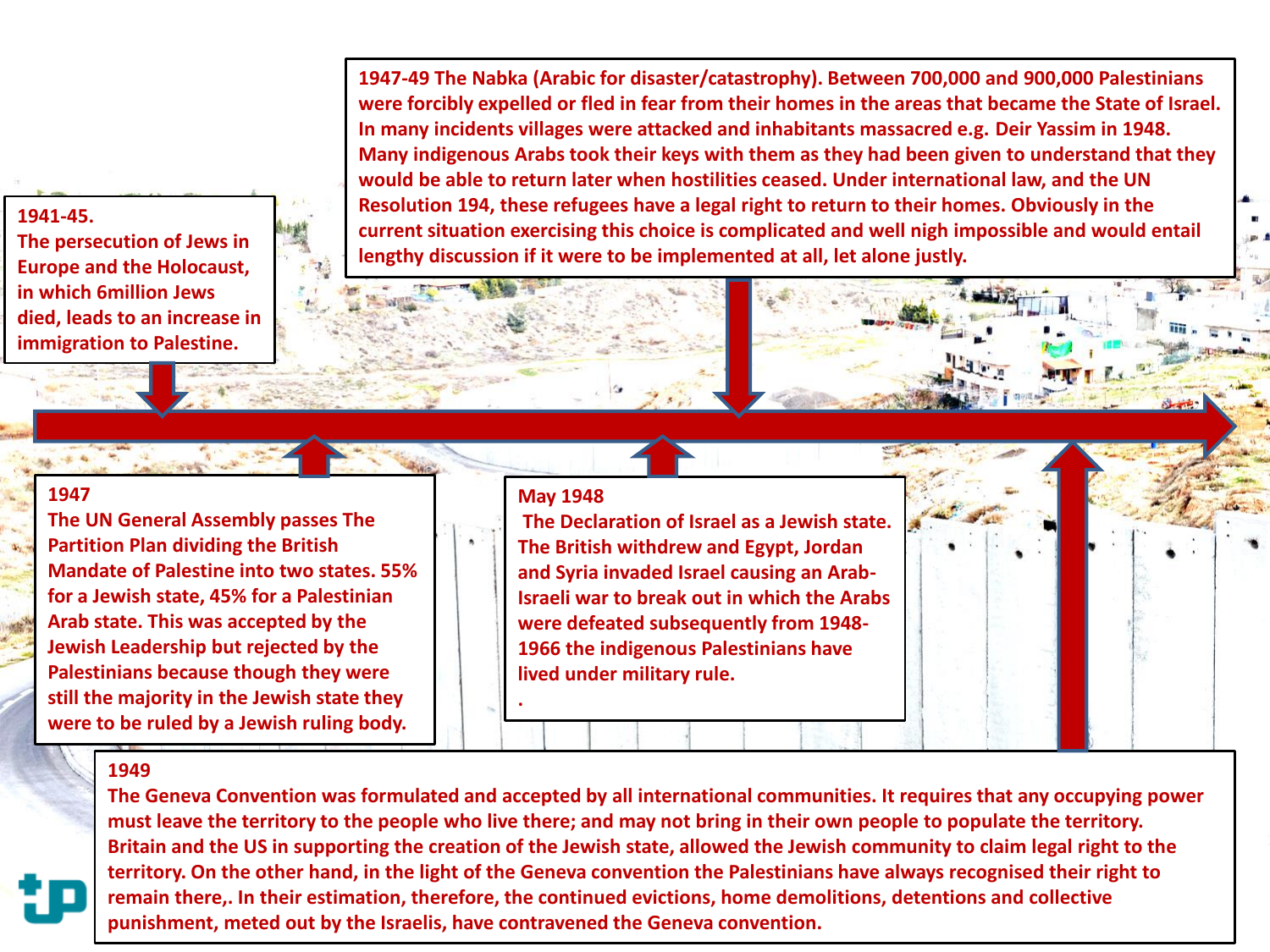**1941-45.** 

**The persecution of Jews in Europe and the Holocaust, in which 6million Jews died, leads to an increase in immigration to Palestine.**

**1947-49 The Nabka (Arabic for disaster/catastrophy). Between 700,000 and 900,000 Palestinians were forcibly expelled or fled in fear from their homes in the areas that became the State of Israel. In many incidents villages were attacked and inhabitants massacred e.g. Deir Yassim in 1948. Many indigenous Arabs took their keys with them as they had been given to understand that they would be able to return later when hostilities ceased. Under international law, and the UN Resolution 194, these refugees have a legal right to return to their homes. Obviously in the current situation exercising this choice is complicated and well nigh impossible and would entail lengthy discussion if it were to be implemented at all, let alone justly.**

## **1947**

**The UN General Assembly passes The Partition Plan dividing the British Mandate of Palestine into two states. 55% for a Jewish state, 45% for a Palestinian Arab state. This was accepted by the Jewish Leadership but rejected by the Palestinians because though they were still the majority in the Jewish state they were to be ruled by a Jewish ruling body.**

## **May 1948**

**.**

**The Declaration of Israel as a Jewish state. The British withdrew and Egypt, Jordan and Syria invaded Israel causing an Arab-Israeli war to break out in which the Arabs were defeated subsequently from 1948- 1966 the indigenous Palestinians have lived under military rule.**

#### **1949**

**The Geneva Convention was formulated and accepted by all international communities. It requires that any occupying power must leave the territory to the people who live there; and may not bring in their own people to populate the territory. Britain and the US in supporting the creation of the Jewish state, allowed the Jewish community to claim legal right to the territory. On the other hand, in the light of the Geneva convention the Palestinians have always recognised their right to remain there,. In their estimation, therefore, the continued evictions, home demolitions, detentions and collective punishment, meted out by the Israelis, have contravened the Geneva convention.**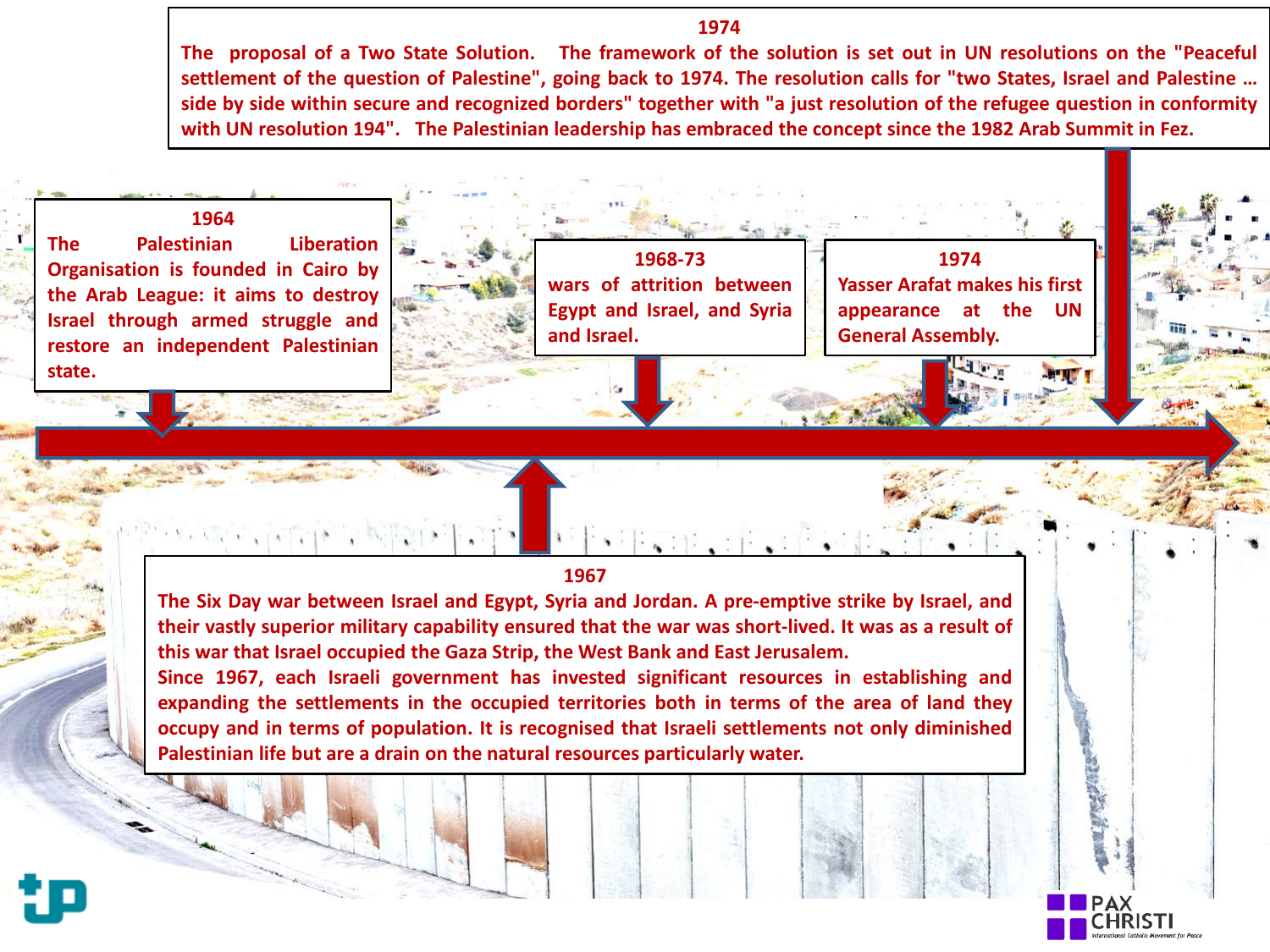### **1974**

The proposal of a Two State Solution. The framework of the solution is set out in UN resolutions on the "Peaceful settlement of the question of Palestine", going back to 1974. The resolution calls for "two States, Israel and Palestine ... side by side within secure and recognized borders" together with "a just resolution of the refugee question in conformity with UN resolution 194". The Palestinian leadership has embraced the concept since the 1982 Arab Summit in Fez.

## **1964**

**The Palestinian Liberation Organisation is founded in Cairo by the Arab League: it aims to destroy Israel through armed struggle and restore an independent Palestinian state.**

**1968-73 wars of attrition between Egypt and Israel, and Syria and Israel.**

**1974 Yasser Arafat makes his first appearance at the UN General Assembly.**

#### **1967**

雀目

**The Six Day war between Israel and Egypt, Syria and Jordan. A pre-emptive strike by Israel, and their vastly superior military capability ensured that the war was short-lived. It was as a result of this war that Israel occupied the Gaza Strip, the West Bank and East Jerusalem.**

**Since 1967, each Israeli government has invested significant resources in establishing and expanding the settlements in the occupied territories both in terms of the area of land they occupy and in terms of population. It is recognised that Israeli settlements not only diminished Palestinian life but are a drain on the natural resources particularly water.**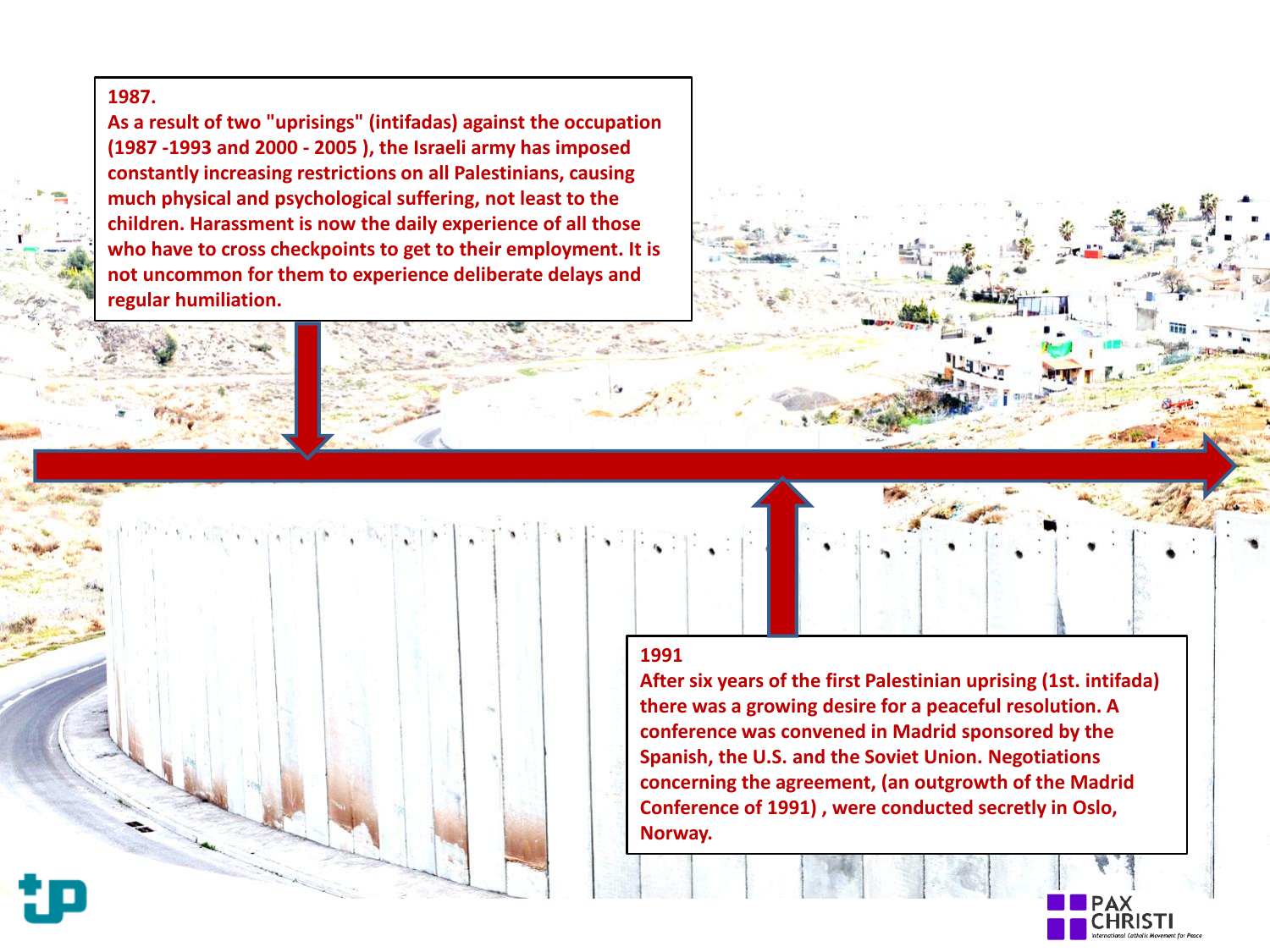# **1987.**

**As a result of two "uprisings" (intifadas) against the occupation (1987 -1993 and 2000 - 2005 ), the Israeli army has imposed constantly increasing restrictions on all Palestinians, causing much physical and psychological suffering, not least to the children. Harassment is now the daily experience of all those who have to cross checkpoints to get to their employment. It is not uncommon for them to experience deliberate delays and regular humiliation.**

## **1991**

**After six years of the first Palestinian uprising (1st. intifada) there was a growing desire for a peaceful resolution. A conference was convened in Madrid sponsored by the Spanish, the U.S. and the Soviet Union. Negotiations concerning the agreement, (an outgrowth of the Madrid Conference of 1991) , were conducted secretly in Oslo, Norway.**

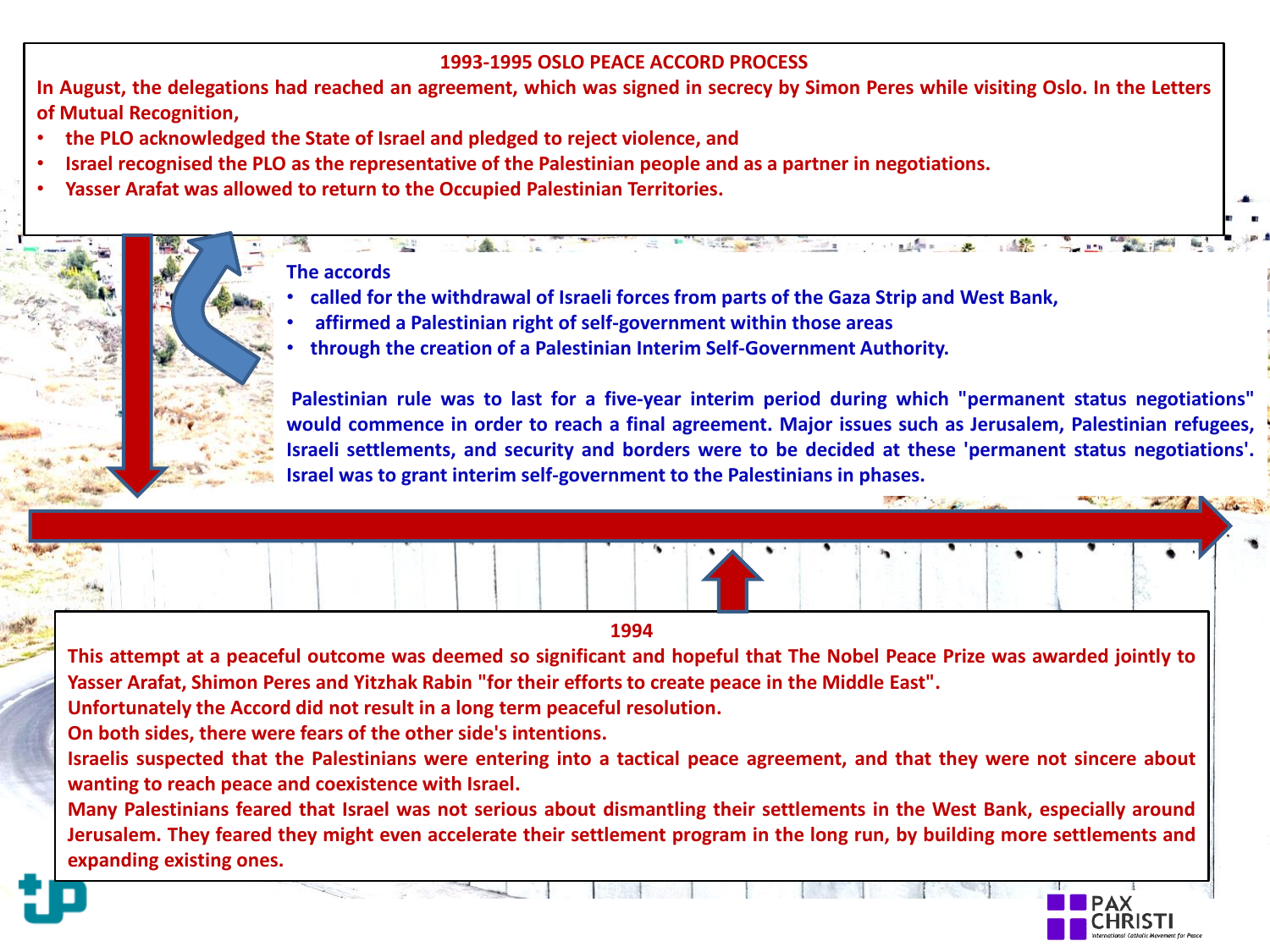# **1993-1995 OSLO PEACE ACCORD PROCESS**

In August, the delegations had reached an agreement, which was signed in secrecy by Simon Peres while visiting Oslo. In the Letters **of Mutual Recognition,**

- **the PLO acknowledged the State of Israel and pledged to reject violence, and**
- Israel recognised the PLO as the representative of the Palestinian people and as a partner in negotiations.
- **Yasser Arafat was allowed to return to the Occupied Palestinian Territories.**

# **The accords**

- **called for the withdrawal of Israeli forces from parts of the Gaza Strip and West Bank,**
- **affirmed a Palestinian right of self-government within those areas**
- **through the creation of a Palestinian Interim Self-Government Authority.**

**Palestinian rule was to last for a five-year interim period during which "permanent status negotiations" would commence in order to reach a final agreement. Major issues such as Jerusalem, Palestinian refugees, Israeli settlements, and security and borders were to be decided at these 'permanent status negotiations'. Israel was to grant interim self-government to the Palestinians in phases.**

 $145 - 32$ 

**Contract of the Contract of the Contract of the Contract of the Contract of the Contract of the Contract of the Contract of the Contract of the Contract of the Contract of the Contract of the Contract of the Contract of t** 

**1994** 

This attempt at a peaceful outcome was deemed so significant and hopeful that The Nobel Peace Prize was awarded jointly to **Yasser Arafat, Shimon Peres and Yitzhak Rabin "for their effortsto create peace in the Middle East".**

**Unfortunately the Accord did not result in a long term peaceful resolution.**

**On both sides, there were fears of the other side's intentions.**

Israelis suspected that the Palestinians were entering into a tactical peace agreement, and that they were not sincere about **wanting to reach peace and coexistence with Israel.**

Many Palestinians feared that Israel was not serious about dismantling their settlements in the West Bank, especially around Jerusalem. They feared they might even accelerate their settlement program in the long run, by building more settlements and **expanding existing ones.**